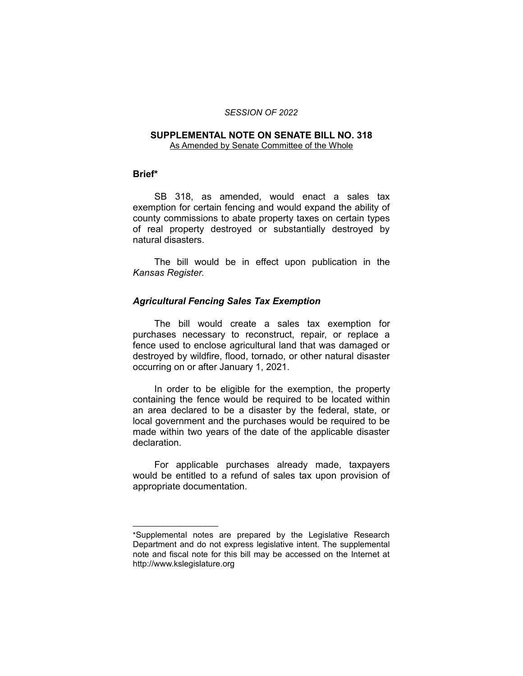#### *SESSION OF 2022*

#### **SUPPLEMENTAL NOTE ON SENATE BILL NO. 318** As Amended by Senate Committee of the Whole

# **Brief\***

SB 318, as amended, would enact a sales tax exemption for certain fencing and would expand the ability of county commissions to abate property taxes on certain types of real property destroyed or substantially destroyed by natural disasters.

The bill would be in effect upon publication in the *Kansas Register*.

# *Agricultural Fencing Sales Tax Exemption*

The bill would create a sales tax exemption for purchases necessary to reconstruct, repair, or replace a fence used to enclose agricultural land that was damaged or destroyed by wildfire, flood, tornado, or other natural disaster occurring on or after January 1, 2021.

In order to be eligible for the exemption, the property containing the fence would be required to be located within an area declared to be a disaster by the federal, state, or local government and the purchases would be required to be made within two years of the date of the applicable disaster declaration.

For applicable purchases already made, taxpayers would be entitled to a refund of sales tax upon provision of appropriate documentation.

 $\overline{\phantom{a}}$  , where  $\overline{\phantom{a}}$  , where  $\overline{\phantom{a}}$ 

<sup>\*</sup>Supplemental notes are prepared by the Legislative Research Department and do not express legislative intent. The supplemental note and fiscal note for this bill may be accessed on the Internet at http://www.kslegislature.org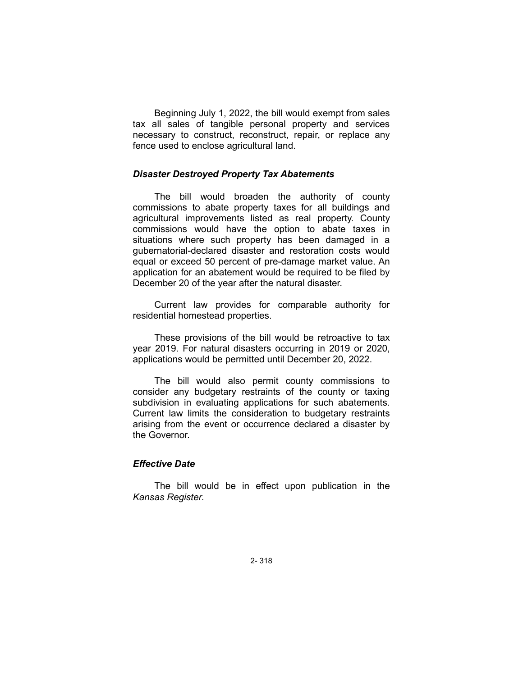Beginning July 1, 2022, the bill would exempt from sales tax all sales of tangible personal property and services necessary to construct, reconstruct, repair, or replace any fence used to enclose agricultural land.

### *Disaster Destroyed Property Tax Abatements*

The bill would broaden the authority of county commissions to abate property taxes for all buildings and agricultural improvements listed as real property. County commissions would have the option to abate taxes in situations where such property has been damaged in a gubernatorial-declared disaster and restoration costs would equal or exceed 50 percent of pre-damage market value. An application for an abatement would be required to be filed by December 20 of the year after the natural disaster.

Current law provides for comparable authority for residential homestead properties.

These provisions of the bill would be retroactive to tax year 2019. For natural disasters occurring in 2019 or 2020, applications would be permitted until December 20, 2022.

The bill would also permit county commissions to consider any budgetary restraints of the county or taxing subdivision in evaluating applications for such abatements. Current law limits the consideration to budgetary restraints arising from the event or occurrence declared a disaster by the Governor.

### *Effective Date*

The bill would be in effect upon publication in the *Kansas Register*.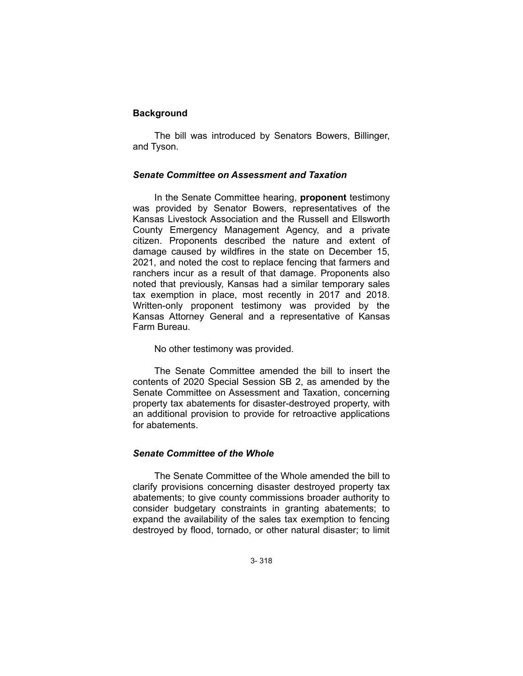# **Background**

The bill was introduced by Senators Bowers, Billinger, and Tyson.

### *Senate Committee on Assessment and Taxation*

In the Senate Committee hearing, **proponent** testimony was provided by Senator Bowers, representatives of the Kansas Livestock Association and the Russell and Ellsworth County Emergency Management Agency, and a private citizen. Proponents described the nature and extent of damage caused by wildfires in the state on December 15, 2021, and noted the cost to replace fencing that farmers and ranchers incur as a result of that damage. Proponents also noted that previously, Kansas had a similar temporary sales tax exemption in place, most recently in 2017 and 2018. Written-only proponent testimony was provided by the Kansas Attorney General and a representative of Kansas Farm Bureau.

No other testimony was provided.

The Senate Committee amended the bill to insert the contents of 2020 Special Session SB 2, as amended by the Senate Committee on Assessment and Taxation, concerning property tax abatements for disaster-destroyed property, with an additional provision to provide for retroactive applications for abatements.

### *Senate Committee of the Whole*

The Senate Committee of the Whole amended the bill to clarify provisions concerning disaster destroyed property tax abatements; to give county commissions broader authority to consider budgetary constraints in granting abatements; to expand the availability of the sales tax exemption to fencing destroyed by flood, tornado, or other natural disaster; to limit